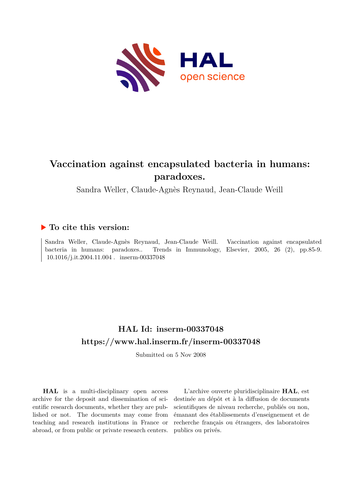

# **Vaccination against encapsulated bacteria in humans: paradoxes.**

Sandra Weller, Claude-Agnès Reynaud, Jean-Claude Weill

## **To cite this version:**

Sandra Weller, Claude-Agnès Reynaud, Jean-Claude Weill. Vaccination against encapsulated bacteria in humans: paradoxes.. Trends in Immunology, Elsevier, 2005, 26 (2), pp.85-9.  $10.1016/j.it.2004.11.004$ . inserm-00337048

# **HAL Id: inserm-00337048 <https://www.hal.inserm.fr/inserm-00337048>**

Submitted on 5 Nov 2008

**HAL** is a multi-disciplinary open access archive for the deposit and dissemination of scientific research documents, whether they are published or not. The documents may come from teaching and research institutions in France or abroad, or from public or private research centers.

L'archive ouverte pluridisciplinaire **HAL**, est destinée au dépôt et à la diffusion de documents scientifiques de niveau recherche, publiés ou non, émanant des établissements d'enseignement et de recherche français ou étrangers, des laboratoires publics ou privés.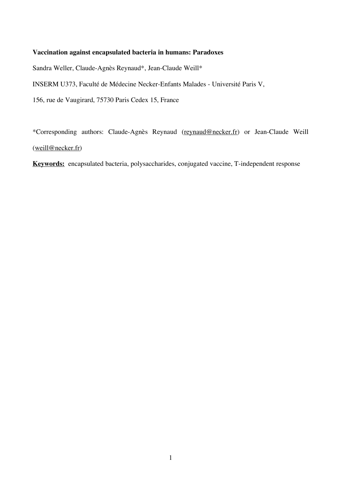## **Vaccination against encapsulated bacteria in humans: Paradoxes**

Sandra Weller, Claude-Agnès Reynaud\*, Jean-Claude Weill\*

INSERM U373, Faculté de Médecine Necker-Enfants Malades - Université Paris V,

156, rue de Vaugirard, 75730 Paris Cedex 15, France

\*Corresponding authors: Claude-Agnès Reynaud (reynaud@necker.fr) or Jean-Claude Weill (weill@necker.fr)

**Keywords:** encapsulated bacteria, polysaccharides, conjugated vaccine, T-independent response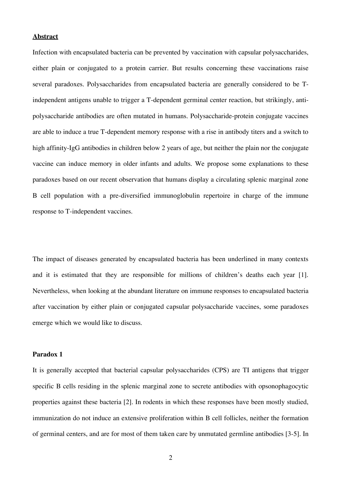#### **Abstract**

Infection with encapsulated bacteria can be prevented by vaccination with capsular polysaccharides, either plain or conjugated to a protein carrier. But results concerning these vaccinations raise several paradoxes. Polysaccharides from encapsulated bacteria are generally considered to be Tindependent antigens unable to trigger a T-dependent germinal center reaction, but strikingly, antipolysaccharide antibodies are often mutated in humans. Polysaccharide-protein conjugate vaccines are able to induce a true T-dependent memory response with a rise in antibody titers and a switch to high affinity-IgG antibodies in children below 2 years of age, but neither the plain nor the conjugate vaccine can induce memory in older infants and adults. We propose some explanations to these paradoxes based on our recent observation that humans display a circulating splenic marginal zone B cell population with a pre-diversified immunoglobulin repertoire in charge of the immune response to T-independent vaccines.

The impact of diseases generated by encapsulated bacteria has been underlined in many contexts and it is estimated that they are responsible for millions of children's deaths each year [1]. Nevertheless, when looking at the abundant literature on immune responses to encapsulated bacteria after vaccination by either plain or conjugated capsular polysaccharide vaccines, some paradoxes emerge which we would like to discuss.

## **Paradox 1**

It is generally accepted that bacterial capsular polysaccharides (CPS) are TI antigens that trigger specific B cells residing in the splenic marginal zone to secrete antibodies with opsonophagocytic properties against these bacteria [2]. In rodents in which these responses have been mostly studied, immunization do not induce an extensive proliferation within B cell follicles, neither the formation of germinal centers, and are for most of them taken care by unmutated germline antibodies [3-5]. In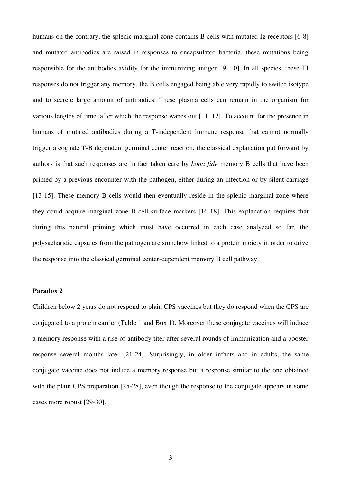humans on the contrary, the splenic marginal zone contains B cells with mutated Ig receptors [6-8] and mutated antibodies are raised in responses to encapsulated bacteria, these mutations being responsible for the antibodies avidity for the immunizing antigen [9, 10]. In all species, these TI responses do not trigger any memory, the B cells engaged being able very rapidly to switch isotype and to secrete large amount of antibodies. These plasma cells can remain in the organism for various lengths of time, after which the response wanes out [11, 12]. To account for the presence in humans of mutated antibodies during a T-independent immune response that cannot normally trigger a cognate T-B dependent germinal center reaction, the classical explanation put forward by authors is that such responses are in fact taken care by *bona fide* memory B cells that have been primed by a previous encounter with the pathogen, either during an infection or by silent carriage [13-15]. These memory B cells would then eventually reside in the splenic marginal zone where they could acquire marginal zone B cell surface markers [16-18]. This explanation requires that during this natural priming which must have occurred in each case analyzed so far, the polysacharidic capsules from the pathogen are somehow linked to a protein moiety in order to drive the response into the classical germinal center-dependent memory B cell pathway.

#### **Paradox 2**

Children below 2 years do not respond to plain CPS vaccines but they do respond when the CPS are conjugated to a protein carrier (Table 1 and Box 1). Moreover these conjugate vaccines will induce a memory response with a rise of antibody titer after several rounds of immunization and a booster response several months later [21-24]. Surprisingly, in older infants and in adults, the same conjugate vaccine does not induce a memory response but a response similar to the one obtained with the plain CPS preparation [25-28], even though the response to the conjugate appears in some cases more robust [29-30].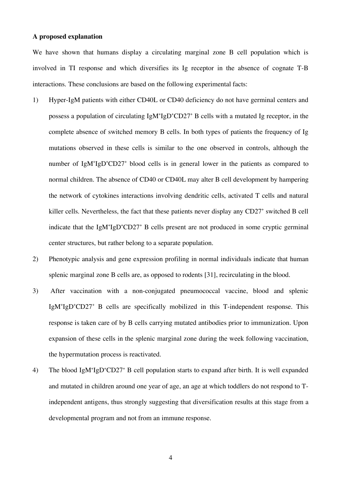## **A proposed explanation**

We have shown that humans display a circulating marginal zone B cell population which is involved in TI response and which diversifies its Ig receptor in the absence of cognate T-B interactions. These conclusions are based on the following experimental facts:

- 1) Hyper-IgM patients with either CD40L or CD40 deficiency do not have germinal centers and possess a population of circulating IgM+IgD+CD27+ B cells with a mutated Ig receptor, in the complete absence of switched memory B cells. In both types of patients the frequency of Ig mutations observed in these cells is similar to the one observed in controls, although the number of IgM<sup>+</sup>IgD<sup>+</sup>CD27<sup>+</sup> blood cells is in general lower in the patients as compared to normal children. The absence of CD40 or CD40L may alter B cell development by hampering the network of cytokines interactions involving dendritic cells, activated T cells and natural killer cells. Nevertheless, the fact that these patients never display any CD27<sup>+</sup> switched B cell indicate that the IgM+IgD+CD27+ B cells present are not produced in some cryptic germinal center structures, but rather belong to a separate population.
- 2) Phenotypic analysis and gene expression profiling in normal individuals indicate that human splenic marginal zone B cells are, as opposed to rodents [31], recirculating in the blood.
- 3) After vaccination with a non-conjugated pneumococcal vaccine, blood and splenic IgM<sup>+</sup>IgD<sup>+</sup>CD27<sup>+</sup> B cells are specifically mobilized in this T-independent response. This response is taken care of by B cells carrying mutated antibodies prior to immunization. Upon expansion of these cells in the splenic marginal zone during the week following vaccination, the hypermutation process is reactivated.
- 4) The blood IgM<sup>+</sup>IgD<sup>+</sup>CD27<sup>+</sup> B cell population starts to expand after birth. It is well expanded and mutated in children around one year of age, an age at which toddlers do not respond to Tindependent antigens, thus strongly suggesting that diversification results at this stage from a developmental program and not from an immune response.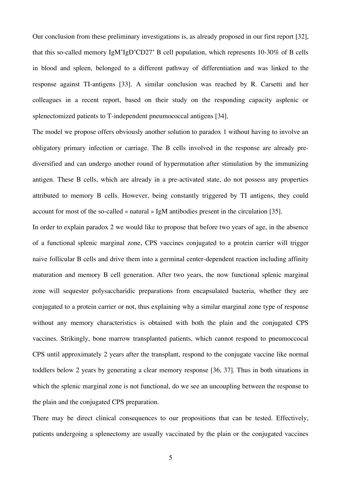Our conclusion from these preliminary investigations is, as already proposed in our first report [32], that this so-called memory IgM+IgD+CD27+ B cell population, which represents 10-30% of B cells in blood and spleen, belonged to a different pathway of differentiation and was linked to the response against TI-antigens [33]. A similar conclusion was reached by R. Carsetti and her colleagues in a recent report, based on their study on the responding capacity asplenic or splenectomized patients to T-independent pneumococcal antigens [34].

The model we propose offers obviously another solution to paradox 1 without having to involve an obligatory primary infection or carriage. The B cells involved in the response are already prediversified and can undergo another round of hypermutation after stimulation by the immunizing antigen. These B cells, which are already in a pre-activated state, do not possess any properties attributed to memory B cells. However, being constantly triggered by TI antigens, they could account for most of the so-called « natural » IgM antibodies present in the circulation [35].

In order to explain paradox 2 we would like to propose that before two years of age, in the absence of a functional splenic marginal zone, CPS vaccines conjugated to a protein carrier will trigger naive follicular B cells and drive them into a germinal center-dependent reaction including affinity maturation and memory B cell generation. After two years, the now functional splenic marginal zone will sequester polysaccharidic preparations from encapsulated bacteria, whether they are conjugated to a protein carrier or not, thus explaining why a similar marginal zone type of response without any memory characteristics is obtained with both the plain and the conjugated CPS vaccines. Strikingly, bone marrow transplanted patients, which cannot respond to pneumoccocal CPS until approximately 2 years after the transplant, respond to the conjugate vaccine like normal toddlers below 2 years by generating a clear memory response [36, 37]. Thus in both situations in which the splenic marginal zone is not functional, do we see an uncoupling between the response to the plain and the conjugated CPS preparation.

There may be direct clinical consequences to our propositions that can be tested. Effectively, patients undergoing a splenectomy are usually vaccinated by the plain or the conjugated vaccines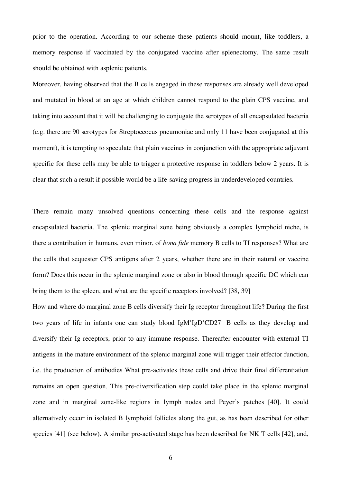prior to the operation. According to our scheme these patients should mount, like toddlers, a memory response if vaccinated by the conjugated vaccine after splenectomy. The same result should be obtained with asplenic patients.

Moreover, having observed that the B cells engaged in these responses are already well developed and mutated in blood at an age at which children cannot respond to the plain CPS vaccine, and taking into account that it will be challenging to conjugate the serotypes of all encapsulated bacteria (e.g. there are 90 serotypes for Streptoccocus pneumoniae and only 11 have been conjugated at this moment), it is tempting to speculate that plain vaccines in conjunction with the appropriate adjuvant specific for these cells may be able to trigger a protective response in toddlers below 2 years. It is clear that such a result if possible would be a life-saving progress in underdeveloped countries.

There remain many unsolved questions concerning these cells and the response against encapsulated bacteria. The splenic marginal zone being obviously a complex lymphoid niche, is there a contribution in humans, even minor, of *bona fide* memory B cells to TI responses? What are the cells that sequester CPS antigens after 2 years, whether there are in their natural or vaccine form? Does this occur in the splenic marginal zone or also in blood through specific DC which can bring them to the spleen, and what are the specific receptors involved? [38, 39]

How and where do marginal zone B cells diversify their Ig receptor throughout life? During the first two years of life in infants one can study blood IgM<sup>+</sup>IgD<sup>+</sup>CD27<sup>+</sup> B cells as they develop and diversify their Ig receptors, prior to any immune response. Thereafter encounter with external TI antigens in the mature environment of the splenic marginal zone will trigger their effector function, i.e. the production of antibodies What pre-activates these cells and drive their final differentiation remains an open question. This pre-diversification step could take place in the splenic marginal zone and in marginal zone-like regions in lymph nodes and Peyer's patches [40]. It could alternatively occur in isolated B lymphoid follicles along the gut, as has been described for other species [41] (see below). A similar pre-activated stage has been described for NK T cells [42], and,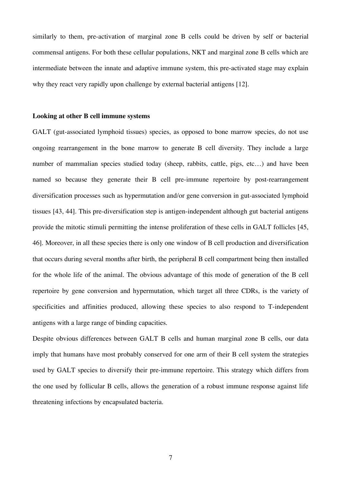similarly to them, pre-activation of marginal zone B cells could be driven by self or bacterial commensal antigens. For both these cellular populations, NKT and marginal zone B cells which are intermediate between the innate and adaptive immune system, this pre-activated stage may explain why they react very rapidly upon challenge by external bacterial antigens [12].

#### **Looking at other B cell immune systems**

GALT (gut-associated lymphoid tissues) species, as opposed to bone marrow species, do not use ongoing rearrangement in the bone marrow to generate B cell diversity. They include a large number of mammalian species studied today (sheep, rabbits, cattle, pigs, etc…) and have been named so because they generate their B cell pre-immune repertoire by post-rearrangement diversification processes such as hypermutation and/or gene conversion in gut-associated lymphoid tissues [43, 44]. This pre-diversification step is antigen-independent although gut bacterial antigens provide the mitotic stimuli permitting the intense proliferation of these cells in GALT follicles [45, 46]. Moreover, in all these species there is only one window of B cell production and diversification that occurs during several months after birth, the peripheral B cell compartment being then installed for the whole life of the animal. The obvious advantage of this mode of generation of the B cell repertoire by gene conversion and hypermutation, which target all three CDRs, is the variety of specificities and affinities produced, allowing these species to also respond to T-independent antigens with a large range of binding capacities.

Despite obvious differences between GALT B cells and human marginal zone B cells, our data imply that humans have most probably conserved for one arm of their B cell system the strategies used by GALT species to diversify their pre-immune repertoire. This strategy which differs from the one used by follicular B cells, allows the generation of a robust immune response against life threatening infections by encapsulated bacteria.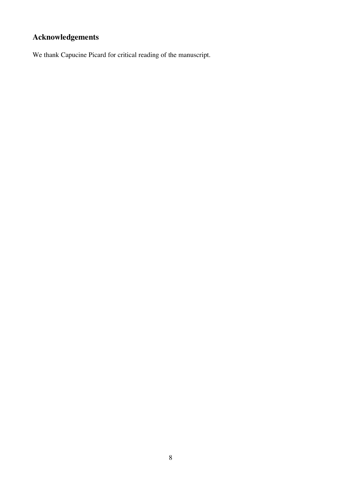# **Acknowledgements**

We thank Capucine Picard for critical reading of the manuscript.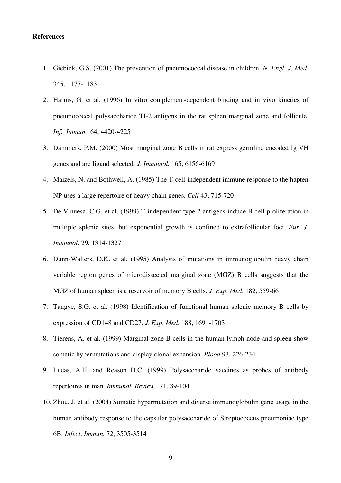#### **References**

- 1. Giebink, G.S. (2001) The prevention of pneumococcal disease in children. *N. Engl. J. Med*. 345, 1177-1183
- 2. Harms, G. et al. (1996) In vitro complement-dependent binding and in vivo kinetics of pneumococcal polysaccharide TI-2 antigens in the rat spleen marginal zone and follicule. *Inf. Immun.* 64, 4420-4225
- 3. Dammers, P.M. (2000) Most marginal zone B cells in rat express germline encoded Ig VH genes and are ligand selected. *J. Immunol.* 165, 6156-6169
- 4. Maizels, N. and Bothwell, A. (1985) The T-cell-independent immune response to the hapten NP uses a large repertoire of heavy chain genes. *Cell* 43, 715-720
- 5. De Vinuesa, C.G. et al. (1999) T-independent type 2 antigens induce B cell proliferation in multiple splenic sites, but exponential growth is confined to extrafollicular foci. *Eur. J. Immunol.* 29, 1314-1327
- 6. Dunn-Walters, D.K. et al. (1995) Analysis of mutations in immunoglobulin heavy chain variable region genes of microdissected marginal zone (MGZ) B cells suggests that the MGZ of human spleen is a reservoir of memory B cells. *J. Exp. Med*. 182, 559-66
- 7. Tangye, S.G. et al. (1998) Identification of functional human splenic memory B cells by expression of CD148 and CD27. *J. Exp. Med.* 188, 1691-1703
- 8. Tierens, A. et al. (1999) Marginal-zone B cells in the human lymph node and spleen show somatic hypermutations and display clonal expansion. *Blood* 93, 226-234
- 9. Lucas, A.H. and Reason D.C. (1999) Polysaccharide vaccines as probes of antibody repertoires in man. *Immunol. Review* 171, 89-104
- 10. Zhou, J. et al. (2004) Somatic hypermutation and diverse immunoglobulin gene usage in the human antibody response to the capsular polysaccharide of Streptococcus pneumoniae type 6B. *Infect. Immun*. 72, 3505-3514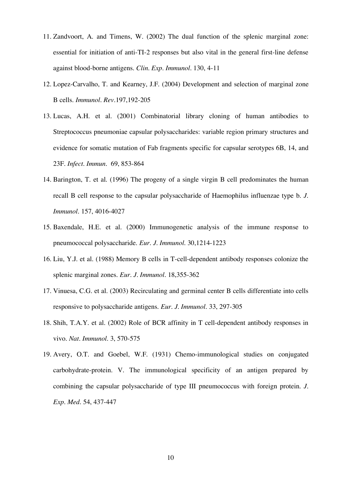- 11. Zandvoort, A. and Timens, W. (2002) The dual function of the splenic marginal zone: essential for initiation of anti-TI-2 responses but also vital in the general first-line defense against blood-borne antigens. *Clin. Exp. Immunol.* 130, 4-11
- 12. Lopez-Carvalho, T. and Kearney, J.F. (2004) Development and selection of marginal zone B cells. *Immunol. Rev.*197,192-205
- 13. Lucas, A.H. et al. (2001) Combinatorial library cloning of human antibodies to Streptococcus pneumoniae capsular polysaccharides: variable region primary structures and evidence for somatic mutation of Fab fragments specific for capsular serotypes 6B, 14, and 23F. *Infect. Immun.* 69, 853-864
- 14. Barington, T. et al. (1996) The progeny of a single virgin B cell predominates the human recall B cell response to the capsular polysaccharide of Haemophilus influenzae type b. *J. Immunol.* 157, 4016-4027
- 15. Baxendale, H.E. et al. (2000) Immunogenetic analysis of the immune response to pneumococcal polysaccharide. *Eur. J. Immunol.* 30,1214-1223
- 16. Liu, Y.J. et al. (1988) Memory B cells in T-cell-dependent antibody responses colonize the splenic marginal zones. *Eur. J. Immunol.* 18,355-362
- 17. Vinuesa, C.G. et al. (2003) Recirculating and germinal center B cells differentiate into cells responsive to polysaccharide antigens. *Eur. J. Immunol.* 33, 297-305
- 18. Shih, T.A.Y. et al. (2002) Role of BCR affinity in T cell-dependent antibody responses in vivo. *Nat. Immunol.* 3, 570-575
- 19. Avery, O.T. and Goebel, W.F. (1931) Chemo-immunological studies on conjugated carbohydrate-protein. V. The immunological specificity of an antigen prepared by combining the capsular polysaccharide of type III pneumococcus with foreign protein. *J. Exp. Med.* 54, 437-447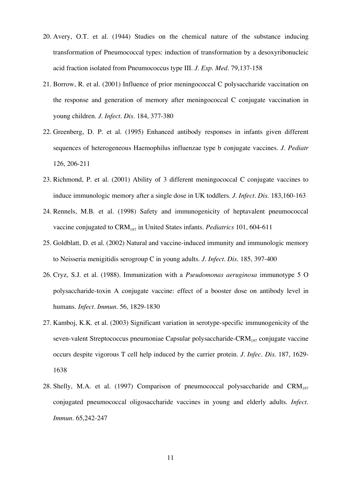- 20. Avery, O.T. et al. (1944) Studies on the chemical nature of the substance inducing transformation of Pneumococcal types: induction of transformation by a desoxyribonucleic acid fraction isolated from Pneumococcus type III. *J. Exp. Med.* 79,137-158
- 21. Borrow, R. et al. (2001) Influence of prior meningococcal C polysaccharide vaccination on the response and generation of memory after meningococcal C conjugate vaccination in young children. *J. Infect. Dis*. 184, 377-380
- 22. Greenberg, D. P. et al. (1995) Enhanced antibody responses in infants given different sequences of heterogeneous Haemophilus influenzae type b conjugate vaccines. *J. Pediatr* 126, 206-211
- 23. Richmond, P. et al. (2001) Ability of 3 different meningococcal C conjugate vaccines to induce immunologic memory after a single dose in UK toddlers. *J. Infect. Dis.* 183,160-163
- 24. Rennels, M.B. et al. (1998) Safety and immunogenicity of heptavalent pneumococcal vaccine conjugated to CRM<sub>197</sub> in United States infants. *Pediatrics* 101, 604-611
- 25. Goldblatt, D. et al. (2002) Natural and vaccine-induced immunity and immunologic memory to Neisseria menigitidis serogroup C in young adults. *J. Infect. Dis.* 185, 397-400
- 26. Cryz, S.J. et al. (1988). Immunization with a *Pseudomonas aeruginosa* immunotype 5 O polysaccharide-toxin A conjugate vaccine: effect of a booster dose on antibody level in humans. *Infect. Immun.* 56, 1829-1830
- 27. Kamboj, K.K. et al. (2003) Significant variation in serotype-specific immunogenicity of the seven-valent Streptococcus pneumoniae Capsular polysaccharide- $CRM<sub>197</sub>$  conjugate vaccine occurs despite vigorous T cell help induced by the carrier protein. *J. Infec. Dis.* 187, 1629- 1638
- 28. Shelly, M.A. et al. (1997) Comparison of pneumococcal polysaccharide and  $CRM<sub>197</sub>$ conjugated pneumococcal oligosaccharide vaccines in young and elderly adults. *Infect. Immun.* 65,242-247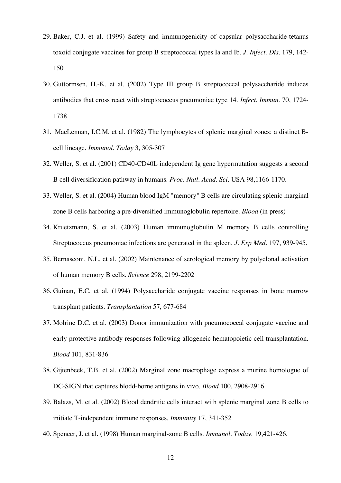- 29. Baker, C.J. et al. (1999) Safety and immunogenicity of capsular polysaccharide-tetanus toxoid conjugate vaccines for group B streptococcal types Ia and Ib. *J. Infect. Dis.* 179, 142- 150
- 30. Guttormsen, H.-K. et al. (2002) Type III group B streptococcal polysaccharide induces antibodies that cross react with streptococcus pneumoniae type 14. *Infect. Immun.* 70, 1724- 1738
- 31. MacLennan, I.C.M. et al. (1982) The lymphocytes of splenic marginal zones: a distinct Bcell lineage. *Immunol. Today* 3, 305-307
- 32. Weller, S. et al. (2001) CD40-CD40L independent Ig gene hypermutation suggests a second B cell diversification pathway in humans. *Proc. Natl. Acad. Sci.* USA 98,1166-1170.
- 33. Weller, S. et al. (2004) Human blood IgM "memory" B cells are circulating splenic marginal zone B cells harboring a pre-diversified immunoglobulin repertoire. *Blood* (in press)
- 34. Kruetzmann, S. et al. (2003) Human immunoglobulin M memory B cells controlling Streptococcus pneumoniae infections are generated in the spleen. *J. Exp Med.* 197, 939-945.
- 35. Bernasconi, N.L. et al. (2002) Maintenance of serological memory by polyclonal activation of human memory B cells. *Science* 298, 2199-2202
- 36. Guinan, E.C. et al. (1994) Polysaccharide conjugate vaccine responses in bone marrow transplant patients. *Transplantation* 57, 677-684
- 37. Molrine D.C. et al. (2003) Donor immunization with pneumococcal conjugate vaccine and early protective antibody responses following allogeneic hematopoietic cell transplantation. *Blood* 101, 831-836
- 38. Gijtenbeek, T.B. et al. (2002) Marginal zone macrophage express a murine homologue of DC-SIGN that captures blodd-borne antigens in vivo. *Blood* 100, 2908-2916
- 39. Balazs, M. et al. (2002) Blood dendritic cells interact with splenic marginal zone B cells to initiate T-independent immune responses. *Immunity* 17, 341-352
- 40. Spencer, J. et al. (1998) Human marginal-zone B cells. *Immunol. Today.* 19,421-426.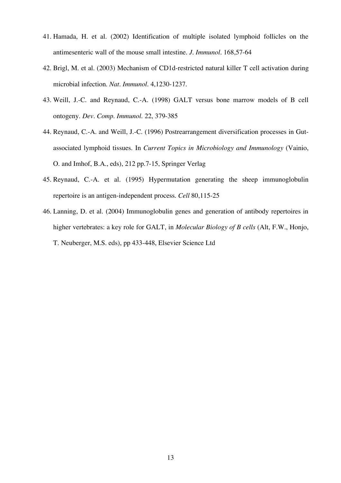- 41. Hamada, H. et al. (2002) Identification of multiple isolated lymphoid follicles on the antimesenteric wall of the mouse small intestine. *J. Immunol.* 168,57-64
- 42. Brigl, M. et al. (2003) Mechanism of CD1d-restricted natural killer T cell activation during microbial infection. *Nat. Immunol.* 4,1230-1237.
- 43. Weill, J.-C. and Reynaud, C.-A. (1998) GALT versus bone marrow models of B cell ontogeny. *Dev. Comp. Immunol.* 22, 379-385
- 44. Reynaud, C.-A. and Weill, J.-C. (1996) Postrearrangement diversification processes in Gutassociated lymphoid tissues. In *Current Topics in Microbiology and Immunology* (Vainio, O. and Imhof, B.A., eds), 212 pp.7-15, Springer Verlag
- 45. Reynaud, C.-A. et al. (1995) Hypermutation generating the sheep immunoglobulin repertoire is an antigen-independent process. *Cell* 80,115-25
- 46. Lanning, D. et al. (2004) Immunoglobulin genes and generation of antibody repertoires in higher vertebrates: a key role for GALT, in *Molecular Biology of B cells* (Alt, F.W., Honjo, T. Neuberger, M.S. eds), pp 433-448, Elsevier Science Ltd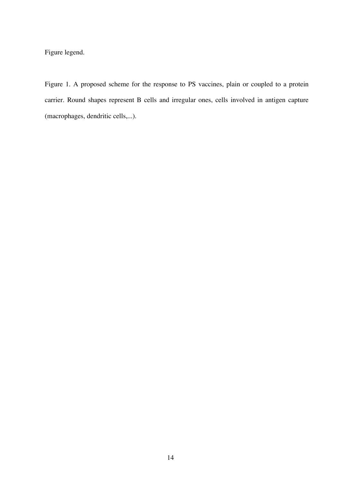Figure legend.

Figure 1. A proposed scheme for the response to PS vaccines, plain or coupled to a protein carrier. Round shapes represent B cells and irregular ones, cells involved in antigen capture (macrophages, dendritic cells,...).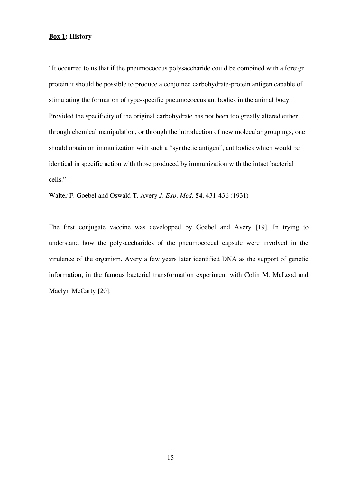### **Box 1: History**

"It occurred to us that if the pneumococcus polysaccharide could be combined with a foreign protein it should be possible to produce a conjoined carbohydrate-protein antigen capable of stimulating the formation of type-specific pneumococcus antibodies in the animal body. Provided the specificity of the original carbohydrate has not been too greatly altered either through chemical manipulation, or through the introduction of new molecular groupings, one should obtain on immunization with such a "synthetic antigen", antibodies which would be identical in specific action with those produced by immunization with the intact bacterial cells."

Walter F. Goebel and Oswald T. Avery *J. Exp. Med*. **54**, 431-436 (1931)

The first conjugate vaccine was developped by Goebel and Avery [19]. In trying to understand how the polysaccharides of the pneumococcal capsule were involved in the virulence of the organism, Avery a few years later identified DNA as the support of genetic information, in the famous bacterial transformation experiment with Colin M. McLeod and Maclyn McCarty [20].